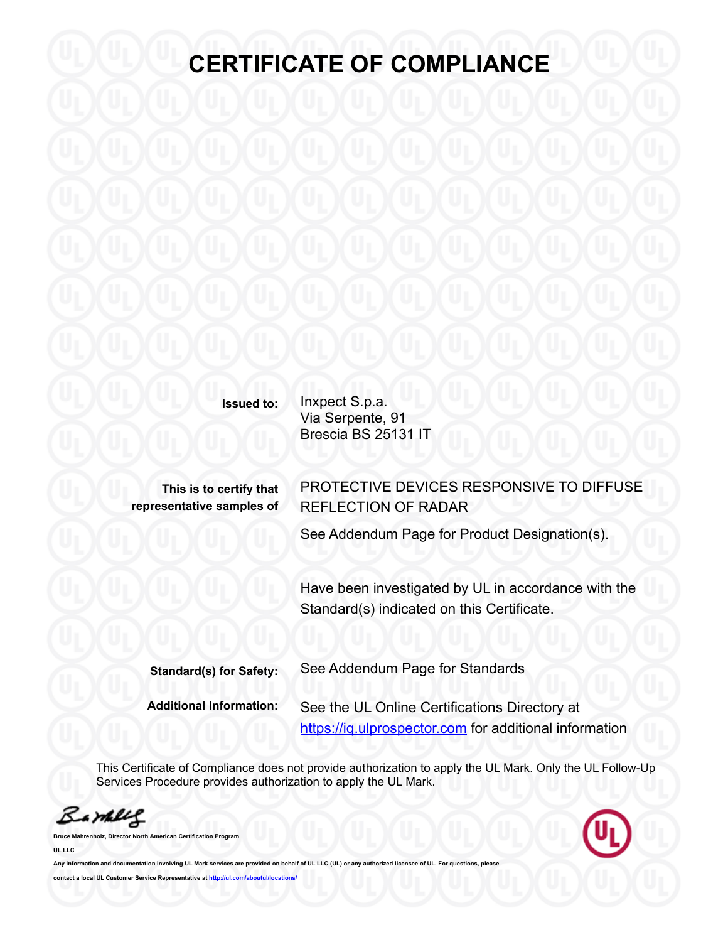**Issued to:** Inxpect S.p.a. Via Serpente, 91 Brescia BS 25131 IT

**This is to certify that representative samples of** PROTECTIVE DEVICES RESPONSIVE TO DIFFUSE REFLECTION OF RADAR

See Addendum Page for Product Designation(s).

Have been investigated by UL in accordance with the Standard(s) indicated on this Certificate.

| <b>Standard(s) for Safety:</b> | See Addendum Page for Standards                        |
|--------------------------------|--------------------------------------------------------|
| <b>Additional Information:</b> | See the UL Online Certifications Directory at          |
|                                | https://iq.ulprospector.com for additional information |

This Certificate of Compliance does not provide authorization to apply the UL Mark. Only the UL Follow-Up Services Procedure provides authorization to apply the UL Mark.

Barbles



**Bruce Mahrenholz, Director North American Certification Program UL LLC**

Any information and documentation involving UL Mark services are provided on behalf of UL LLC (UL) or any authorized licensee of UL. For questions **contact a local UL Customer Service Representative at http://ul.com/**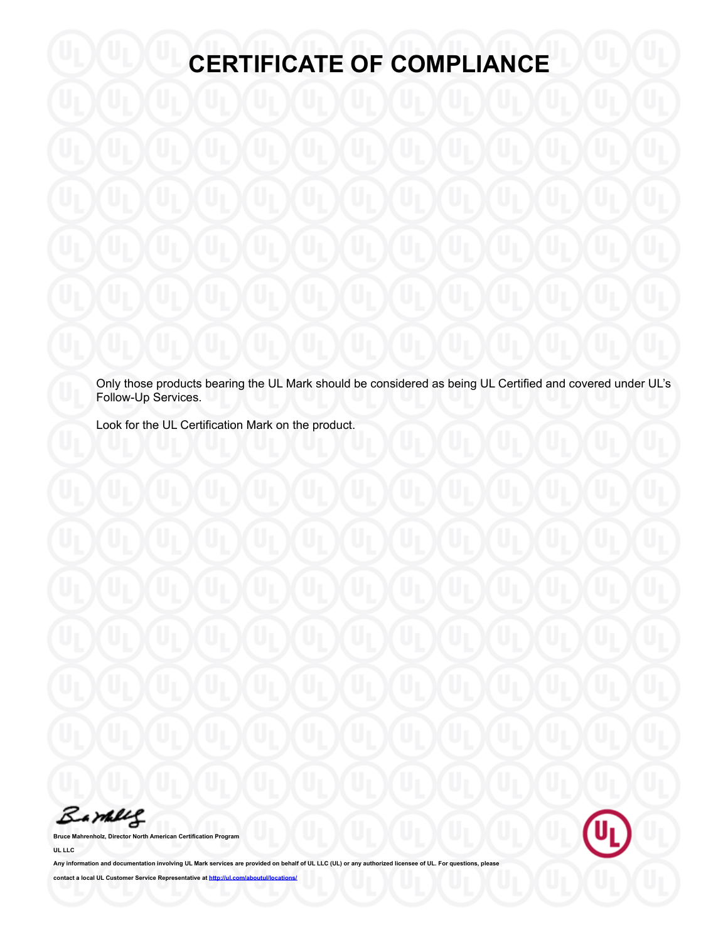Only those products bearing the UL Mark should be considered as being UL Certified and covered under UL's Follow-Up Services.

Look for the UL Certification Mark on the product.

Barney

**Bruce Mahrenholz, Director North American Certification Program UL LLC**



Any information and documentation involving UL Mark services are provided on behalf of UL LLC (UL) or any authorized licensee of UL. For questions, pl **contact a local UL Customer Service Representative at <http://ul.com/aboutul/locations/>**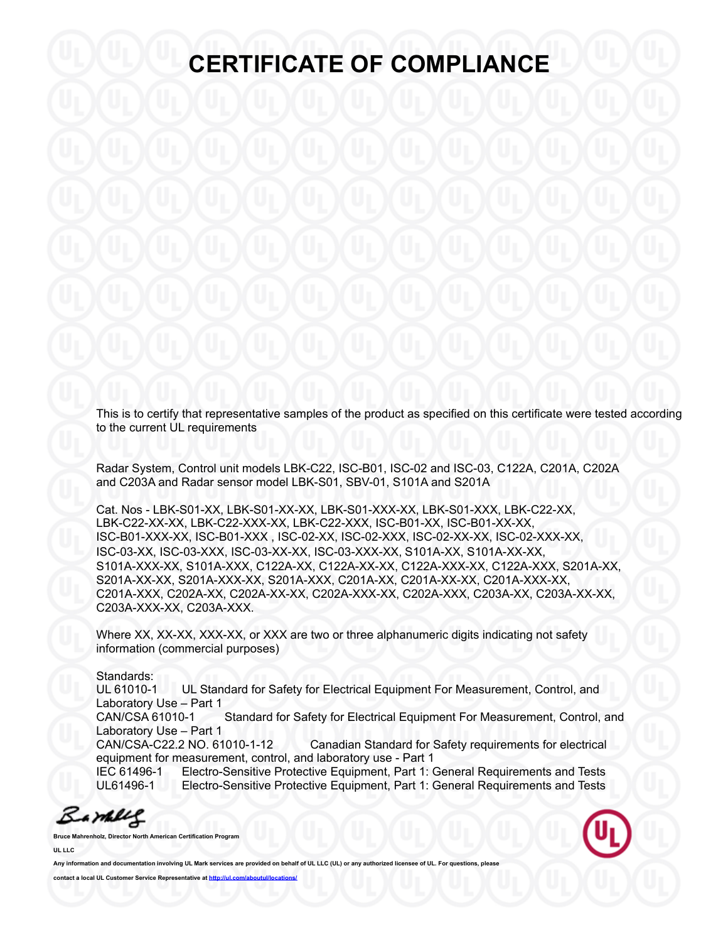This is to certify that representative samples of the product as specified on this certificate were tested according to the current UL requirements

Radar System, Control unit models LBK-C22, ISC-B01, ISC-02 and ISC-03, C122A, C201A, C202A and C203A and Radar sensor model LBK-S01, SBV-01, S101A and S201A

Cat. Nos - LBK-S01-XX, LBK-S01-XX-XX, LBK-S01-XXX-XX, LBK-S01-XXX, LBK-C22-XX, LBK-C22-XX-XX, LBK-C22-XXX-XX, LBK-C22-XXX, ISC-B01-XX, ISC-B01-XX-XX, ISC-B01-XXX-XX, ISC-B01-XXX , ISC-02-XX, ISC-02-XXX, ISC-02-XX-XX, ISC-02-XXX-XX, ISC-03-XX, ISC-03-XXX, ISC-03-XX-XX, ISC-03-XXX-XX, S101A-XX, S101A-XX-XX, S101A-XXX-XX, S101A-XXX, C122A-XX, C122A-XX-XX, C122A-XXX-XX, C122A-XXX, S201A-XX, S201A-XX-XX, S201A-XXX-XX, S201A-XXX, C201A-XX, C201A-XX-XX, C201A-XXX-XX, C201A-XXX, C202A-XX, C202A-XX-XX, C202A-XXX-XX, C202A-XXX, C203A-XX, C203A-XX-XX, C203A-XXX-XX, C203A-XXX.

Where XX, XX-XX, XXX-XX, or XXX are two or three alphanumeric digits indicating not safety information (commercial purposes)

Standards:

UL 61010-1 UL Standard for Safety for Electrical Equipment For Measurement, Control, and Laboratory Use – Part 1

CAN/CSA 61010-1 Standard for Safety for Electrical Equipment For Measurement, Control, and Laboratory Use – Part 1

CAN/CSA-C22.2 NO. 61010-1-12 Canadian Standard for Safety requirements for electrical equipment for measurement, control, and laboratory use - Part 1

IEC 61496-1 Electro-Sensitive Protective Equipment, Part 1: General Requirements and Tests UL61496-1 Electro-Sensitive Protective Equipment, Part 1: General Requirements and Tests

Barbles

**Bruce Mahrenholz, Director North American Certification Program UL LLC**



Any information and documentation involving UL Mark services are provided on behalf of UL LLC (UL) or any authorized **contact a local UL Customer Service Representative at http://ul.com/**